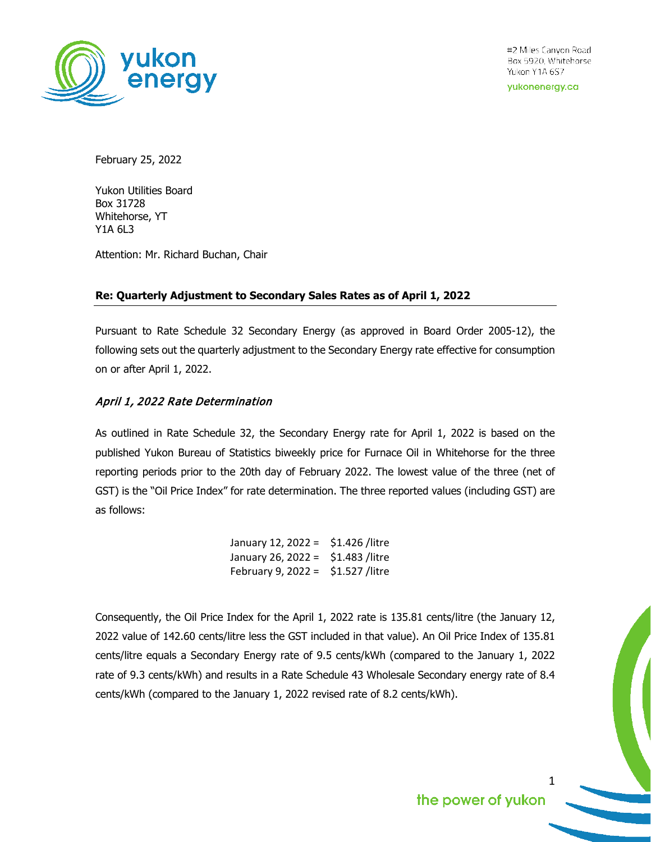

#2 Miles Canyon Road Box 5920, Whitehorse Yukon Y1A 6S7

yukonenergy.ca

February 25, 2022

Yukon Utilities Board Box 31728 Whitehorse, YT Y1A 6L3

Attention: Mr. Richard Buchan, Chair

## **Re: Quarterly Adjustment to Secondary Sales Rates as of April 1, 2022**

Pursuant to Rate Schedule 32 Secondary Energy (as approved in Board Order 2005-12), the following sets out the quarterly adjustment to the Secondary Energy rate effective for consumption on or after April 1, 2022.

## April 1, 2022 Rate Determination

As outlined in Rate Schedule 32, the Secondary Energy rate for April 1, 2022 is based on the published Yukon Bureau of Statistics biweekly price for Furnace Oil in Whitehorse for the three reporting periods prior to the 20th day of February 2022. The lowest value of the three (net of GST) is the "Oil Price Index" for rate determination. The three reported values (including GST) are as follows:

| January 12, 2022 = | \$1.426 /litre |
|--------------------|----------------|
| January 26, 2022 = | \$1.483 /litre |
| February 9, 2022 = | \$1.527 /litre |

Consequently, the Oil Price Index for the April 1, 2022 rate is 135.81 cents/litre (the January 12, 2022 value of 142.60 cents/litre less the GST included in that value). An Oil Price Index of 135.81 cents/litre equals a Secondary Energy rate of 9.5 cents/kWh (compared to the January 1, 2022 rate of 9.3 cents/kWh) and results in a Rate Schedule 43 Wholesale Secondary energy rate of 8.4 cents/kWh (compared to the January 1, 2022 revised rate of 8.2 cents/kWh).